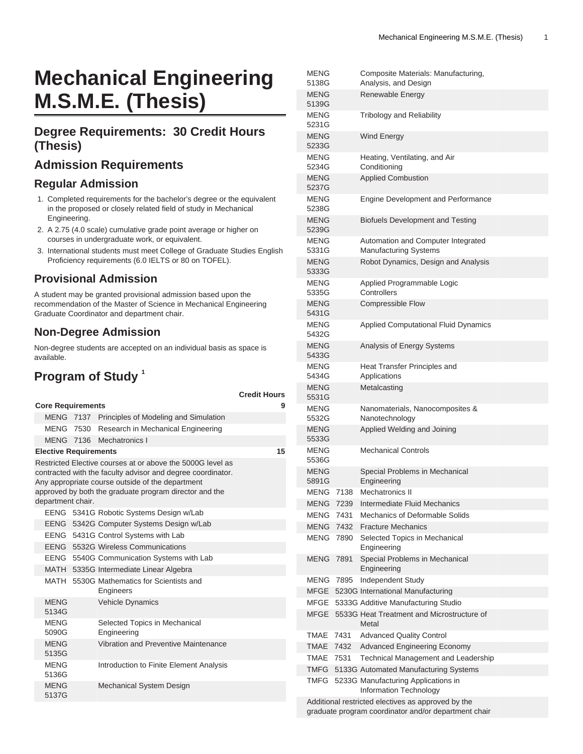# **Mechanical Engineering M.S.M.E. (Thesis)**

#### **Degree Requirements: 30 Credit Hours (Thesis)**

# **Admission Requirements**

#### **Regular Admission**

- 1. Completed requirements for the bachelor's degree or the equivalent in the proposed or closely related field of study in Mechanical Engineering.
- 2. A 2.75 (4.0 scale) cumulative grade point average or higher on courses in undergraduate work, or equivalent.
- 3. International students must meet College of Graduate Studies English Proficiency requirements (6.0 IELTS or 80 on TOFEL).

#### **Provisional Admission**

A student may be granted provisional admission based upon the recommendation of the Master of Science in Mechanical Engineering Graduate Coordinator and department chair.

#### **Non-Degree Admission**

Non-degree students are accepted on an individual basis as space is available.

# **Program of Study <sup>1</sup>**

|                          |                                                                                                                                                                                                                                                              |    |                                                        | <b>Credit Hours</b> |  |
|--------------------------|--------------------------------------------------------------------------------------------------------------------------------------------------------------------------------------------------------------------------------------------------------------|----|--------------------------------------------------------|---------------------|--|
| <b>Core Requirements</b> |                                                                                                                                                                                                                                                              |    |                                                        | 9                   |  |
|                          |                                                                                                                                                                                                                                                              |    | MENG 7137 Principles of Modeling and Simulation        |                     |  |
|                          |                                                                                                                                                                                                                                                              |    | MENG 7530 Research in Mechanical Engineering           |                     |  |
|                          |                                                                                                                                                                                                                                                              |    | MENG 7136 Mechatronics I                               |                     |  |
|                          | <b>Elective Requirements</b>                                                                                                                                                                                                                                 | 15 |                                                        |                     |  |
|                          | Restricted Elective courses at or above the 5000G level as<br>contracted with the faculty advisor and degree coordinator.<br>Any appropriate course outside of the department<br>approved by both the graduate program director and the<br>department chair. |    |                                                        |                     |  |
|                          |                                                                                                                                                                                                                                                              |    | EENG 5341G Robotic Systems Design w/Lab                |                     |  |
|                          |                                                                                                                                                                                                                                                              |    | EENG 5342G Computer Systems Design w/Lab               |                     |  |
|                          |                                                                                                                                                                                                                                                              |    | EENG 5431G Control Systems with Lab                    |                     |  |
|                          |                                                                                                                                                                                                                                                              |    | EENG 5532G Wireless Communications                     |                     |  |
|                          |                                                                                                                                                                                                                                                              |    | EENG 5540G Communication Systems with Lab              |                     |  |
|                          |                                                                                                                                                                                                                                                              |    | MATH 5335G Intermediate Linear Algebra                 |                     |  |
|                          |                                                                                                                                                                                                                                                              |    | MATH 5530G Mathematics for Scientists and<br>Engineers |                     |  |
|                          | <b>MENG</b><br>5134G                                                                                                                                                                                                                                         |    | Vehicle Dynamics                                       |                     |  |
|                          | <b>MENG</b><br>5090G                                                                                                                                                                                                                                         |    | Selected Topics in Mechanical<br>Engineering           |                     |  |
|                          | <b>MENG</b><br>5135G                                                                                                                                                                                                                                         |    | Vibration and Preventive Maintenance                   |                     |  |
|                          | <b>MENG</b><br>5136G                                                                                                                                                                                                                                         |    | Introduction to Finite Element Analysis                |                     |  |
|                          | <b>MENG</b><br>5137G                                                                                                                                                                                                                                         |    | Mechanical System Design                               |                     |  |

|                                                                                                            | MENG<br>5138G        |      | Composite Materials: Manufacturing,<br>Analysis, and Design        |
|------------------------------------------------------------------------------------------------------------|----------------------|------|--------------------------------------------------------------------|
|                                                                                                            | <b>MENG</b>          |      | Renewable Energy                                                   |
|                                                                                                            | 5139G                |      |                                                                    |
|                                                                                                            | <b>MENG</b><br>5231G |      | <b>Tribology and Reliability</b>                                   |
|                                                                                                            | <b>MENG</b><br>5233G |      | <b>Wind Energy</b>                                                 |
|                                                                                                            | <b>MENG</b><br>5234G |      | Heating, Ventilating, and Air<br>Conditioning                      |
|                                                                                                            | <b>MENG</b><br>5237G |      | <b>Applied Combustion</b>                                          |
|                                                                                                            | <b>MENG</b><br>5238G |      | <b>Engine Development and Performance</b>                          |
|                                                                                                            | <b>MENG</b><br>5239G |      | <b>Biofuels Development and Testing</b>                            |
|                                                                                                            | <b>MENG</b><br>5331G |      | Automation and Computer Integrated<br><b>Manufacturing Systems</b> |
|                                                                                                            | <b>MENG</b><br>5333G |      | Robot Dynamics, Design and Analysis                                |
|                                                                                                            | <b>MENG</b><br>5335G |      | Applied Programmable Logic<br>Controllers                          |
|                                                                                                            | <b>MENG</b><br>5431G |      | <b>Compressible Flow</b>                                           |
|                                                                                                            | <b>MENG</b><br>5432G |      | <b>Applied Computational Fluid Dynamics</b>                        |
|                                                                                                            | <b>MENG</b><br>5433G |      | Analysis of Energy Systems                                         |
|                                                                                                            | <b>MENG</b><br>5434G |      | Heat Transfer Principles and<br>Applications                       |
|                                                                                                            | <b>MENG</b><br>5531G |      | Metalcasting                                                       |
|                                                                                                            | <b>MENG</b><br>5532G |      | Nanomaterials, Nanocomposites &<br>Nanotechnology                  |
|                                                                                                            | <b>MENG</b><br>5533G |      | Applied Welding and Joining                                        |
|                                                                                                            | MENG<br>5536G        |      | <b>Mechanical Controls</b>                                         |
|                                                                                                            | <b>MENG</b><br>5891G |      | Special Problems in Mechanical<br>Engineering                      |
|                                                                                                            | <b>MENG</b>          | 7138 | <b>Mechatronics II</b>                                             |
|                                                                                                            | <b>MENG</b>          | 7239 | Intermediate Fluid Mechanics                                       |
|                                                                                                            | MENG                 | 7431 | Mechanics of Deformable Solids                                     |
|                                                                                                            | MENG 7432            |      | <b>Fracture Mechanics</b>                                          |
|                                                                                                            | MENG                 | 7890 | Selected Topics in Mechanical<br>Engineering                       |
|                                                                                                            | <b>MENG</b>          | 7891 | Special Problems in Mechanical<br>Engineering                      |
|                                                                                                            | MENG                 | 7895 | Independent Study                                                  |
|                                                                                                            | <b>MFGE</b>          |      | 5230G International Manufacturing                                  |
|                                                                                                            | MFGE                 |      | 5333G Additive Manufacturing Studio                                |
|                                                                                                            | <b>MFGE</b>          |      | 5533G Heat Treatment and Microstructure of<br>Metal                |
|                                                                                                            | TMAE                 | 7431 | <b>Advanced Quality Control</b>                                    |
|                                                                                                            | <b>TMAE 7432</b>     |      | <b>Advanced Engineering Economy</b>                                |
|                                                                                                            | TMAE                 | 7531 | Technical Management and Leadership                                |
|                                                                                                            | <b>TMFG</b>          |      | 5133G Automated Manufacturing Systems                              |
|                                                                                                            | TMFG                 |      | 5233G Manufacturing Applications in<br>Information Technology      |
| Additional restricted electives as approved by the<br>graduate program coordinator and/or department chair |                      |      |                                                                    |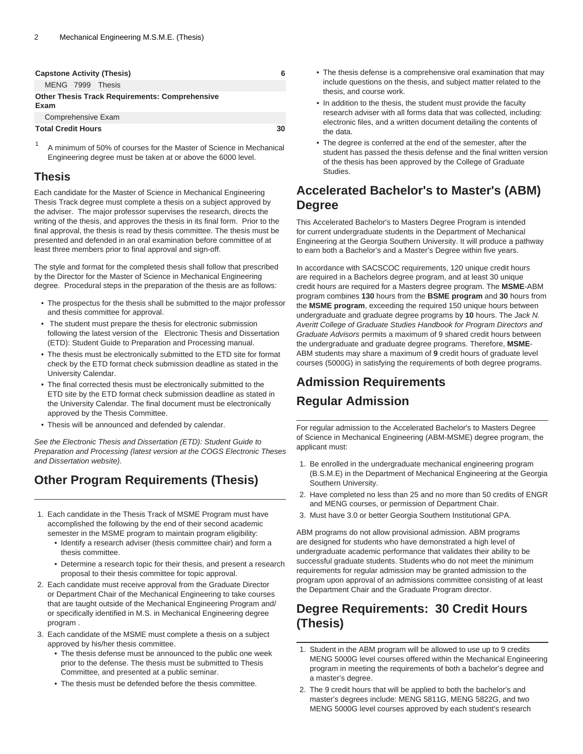| <b>Capstone Activity (Thesis)</b>                             |  |  |  |  |
|---------------------------------------------------------------|--|--|--|--|
| MENG 7999 Thesis                                              |  |  |  |  |
| <b>Other Thesis Track Requirements: Comprehensive</b><br>Exam |  |  |  |  |
| Comprehensive Exam                                            |  |  |  |  |
| <b>Total Credit Hours</b><br>30                               |  |  |  |  |

1 A minimum of 50% of courses for the Master of Science in Mechanical Engineering degree must be taken at or above the 6000 level.

#### **Thesis**

Each candidate for the Master of Science in Mechanical Engineering Thesis Track degree must complete a thesis on a subject approved by the adviser. The major professor supervises the research, directs the writing of the thesis, and approves the thesis in its final form. Prior to the final approval, the thesis is read by thesis committee. The thesis must be presented and defended in an oral examination before committee of at least three members prior to final approval and sign-off.

The style and format for the completed thesis shall follow that prescribed by the Director for the Master of Science in Mechanical Engineering degree. Procedural steps in the preparation of the thesis are as follows:

- The prospectus for the thesis shall be submitted to the major professor and thesis committee for approval.
- The student must prepare the thesis for electronic submission following the latest version of the Electronic Thesis and Dissertation (ETD): Student Guide to Preparation and Processing manual.
- The thesis must be electronically submitted to the ETD site for format check by the ETD format check submission deadline as stated in the University Calendar.
- The final corrected thesis must be electronically submitted to the ETD site by the ETD format check submission deadline as stated in the University Calendar. The final document must be electronically approved by the Thesis Committee.
- Thesis will be announced and defended by calendar.

See the Electronic Thesis and Dissertation (ETD): Student Guide to Preparation and Processing (latest version at the COGS Electronic Theses and Dissertation website).

# **Other Program Requirements (Thesis)**

- 1. Each candidate in the Thesis Track of MSME Program must have accomplished the following by the end of their second academic semester in the MSME program to maintain program eligibility:
	- Identify a research adviser (thesis committee chair) and form a thesis committee.
	- Determine a research topic for their thesis, and present a research proposal to their thesis committee for topic approval.
- 2. Each candidate must receive approval from the Graduate Director or Department Chair of the Mechanical Engineering to take courses that are taught outside of the Mechanical Engineering Program and/ or specifically identified in M.S. in Mechanical Engineering degree program .
- 3. Each candidate of the MSME must complete a thesis on a subject approved by his/her thesis committee.
	- The thesis defense must be announced to the public one week prior to the defense. The thesis must be submitted to Thesis Committee, and presented at a public seminar.
	- The thesis must be defended before the thesis committee.
- The thesis defense is a comprehensive oral examination that may include questions on the thesis, and subject matter related to the thesis, and course work.
- In addition to the thesis, the student must provide the faculty research adviser with all forms data that was collected, including: electronic files, and a written document detailing the contents of the data.
- The degree is conferred at the end of the semester, after the student has passed the thesis defense and the final written version of the thesis has been approved by the College of Graduate Studies.

### **Accelerated Bachelor's to Master's (ABM) Degree**

This Accelerated Bachelor's to Masters Degree Program is intended for current undergraduate students in the Department of Mechanical Engineering at the Georgia Southern University. It will produce a pathway to earn both a Bachelor's and a Master's Degree within five years.

In accordance with SACSCOC requirements, 120 unique credit hours are required in a Bachelors degree program, and at least 30 unique credit hours are required for a Masters degree program. The **MSME**-ABM program combines **130** hours from the **BSME program** and **30** hours from the **MSME program**, exceeding the required 150 unique hours between undergraduate and graduate degree programs by **10** hours. The Jack N. Averitt College of Graduate Studies Handbook for Program Directors and Graduate Advisors permits a maximum of 9 shared credit hours between the undergraduate and graduate degree programs. Therefore, **MSME**-ABM students may share a maximum of **9** credit hours of graduate level courses (5000G) in satisfying the requirements of both degree programs.

# **Admission Requirements Regular Admission**

For regular admission to the Accelerated Bachelor's to Masters Degree of Science in Mechanical Engineering (ABM-MSME) degree program, the applicant must:

- 1. Be enrolled in the undergraduate mechanical engineering program (B.S.M.E) in the Department of Mechanical Engineering at the Georgia Southern University.
- 2. Have completed no less than 25 and no more than 50 credits of ENGR and MENG courses, or permission of Department Chair.
- 3. Must have 3.0 or better Georgia Southern Institutional GPA.

ABM programs do not allow provisional admission. ABM programs are designed for students who have demonstrated a high level of undergraduate academic performance that validates their ability to be successful graduate students. Students who do not meet the minimum requirements for regular admission may be granted admission to the program upon approval of an admissions committee consisting of at least the Department Chair and the Graduate Program director.

### **Degree Requirements: 30 Credit Hours (Thesis)**

- 1. Student in the ABM program will be allowed to use up to 9 credits MENG 5000G level courses offered within the Mechanical Engineering program in meeting the requirements of both a bachelor's degree and a master's degree.
- 2. The 9 credit hours that will be applied to both the bachelor's and master's degrees include: MENG 5811G, MENG 5822G, and two MENG 5000G level courses approved by each student's research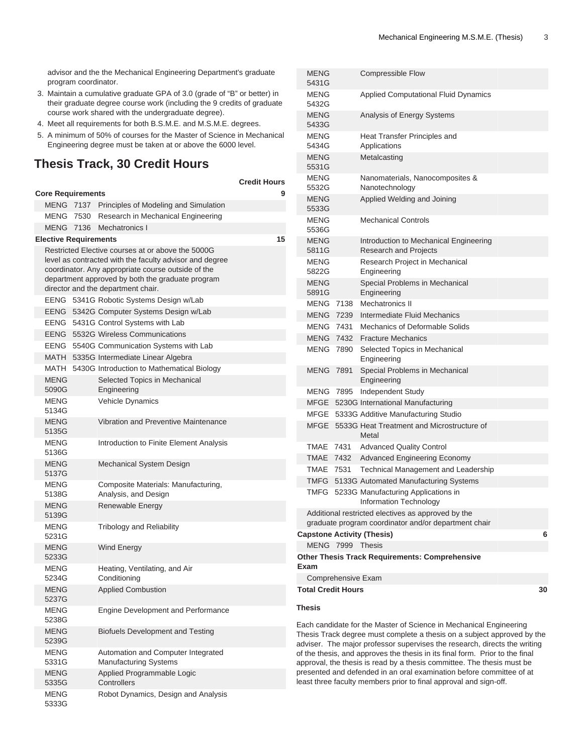advisor and the the Mechanical Engineering Department's graduate program coordinator.

- 3. Maintain a cumulative graduate GPA of 3.0 (grade of "B" or better) in their graduate degree course work (including the 9 credits of graduate course work shared with the undergraduate degree).
- 4. Meet all requirements for both B.S.M.E. and M.S.M.E. degrees.
- 5. A minimum of 50% of courses for the Master of Science in Mechanical Engineering degree must be taken at or above the 6000 level.

#### **Thesis Track, 30 Credit Hours**

|                                                                                                                                                                                                                                                              |  |                                                                    | <b>Credit Hours</b> |  |
|--------------------------------------------------------------------------------------------------------------------------------------------------------------------------------------------------------------------------------------------------------------|--|--------------------------------------------------------------------|---------------------|--|
| <b>Core Requirements</b>                                                                                                                                                                                                                                     |  |                                                                    |                     |  |
|                                                                                                                                                                                                                                                              |  | MENG 7137 Principles of Modeling and Simulation                    |                     |  |
|                                                                                                                                                                                                                                                              |  | MENG 7530 Research in Mechanical Engineering                       |                     |  |
| <b>MENG 7136</b>                                                                                                                                                                                                                                             |  | Mechatronics I                                                     |                     |  |
| <b>Elective Requirements</b>                                                                                                                                                                                                                                 |  |                                                                    | 15                  |  |
| Restricted Elective courses at or above the 5000G<br>level as contracted with the faculty advisor and degree<br>coordinator. Any appropriate course outside of the<br>department approved by both the graduate program<br>director and the department chair. |  |                                                                    |                     |  |
| EENG                                                                                                                                                                                                                                                         |  | 5341G Robotic Systems Design w/Lab                                 |                     |  |
| EENG                                                                                                                                                                                                                                                         |  | 5342G Computer Systems Design w/Lab                                |                     |  |
| EENG                                                                                                                                                                                                                                                         |  | 5431G Control Systems with Lab                                     |                     |  |
| EENG                                                                                                                                                                                                                                                         |  | 5532G Wireless Communications                                      |                     |  |
|                                                                                                                                                                                                                                                              |  | EENG 5540G Communication Systems with Lab                          |                     |  |
|                                                                                                                                                                                                                                                              |  | MATH 5335G Intermediate Linear Algebra                             |                     |  |
|                                                                                                                                                                                                                                                              |  | MATH 5430G Introduction to Mathematical Biology                    |                     |  |
| <b>MENG</b><br>5090G                                                                                                                                                                                                                                         |  | Selected Topics in Mechanical<br>Engineering                       |                     |  |
| MENG<br>5134G                                                                                                                                                                                                                                                |  | <b>Vehicle Dynamics</b>                                            |                     |  |
| <b>MENG</b><br>5135G                                                                                                                                                                                                                                         |  | Vibration and Preventive Maintenance                               |                     |  |
| <b>MENG</b><br>5136G                                                                                                                                                                                                                                         |  | Introduction to Finite Element Analysis                            |                     |  |
| <b>MENG</b><br>5137G                                                                                                                                                                                                                                         |  | Mechanical System Design                                           |                     |  |
| MENG<br>5138G                                                                                                                                                                                                                                                |  | Composite Materials: Manufacturing,<br>Analysis, and Design        |                     |  |
| <b>MENG</b><br>5139G                                                                                                                                                                                                                                         |  | Renewable Energy                                                   |                     |  |
| MENG<br>5231G                                                                                                                                                                                                                                                |  | <b>Tribology and Reliability</b>                                   |                     |  |
| <b>MFNG</b><br>5233G                                                                                                                                                                                                                                         |  | <b>Wind Energy</b>                                                 |                     |  |
| <b>MENG</b><br>5234G                                                                                                                                                                                                                                         |  | Heating, Ventilating, and Air<br>Conditioning                      |                     |  |
| MENG<br>5237G                                                                                                                                                                                                                                                |  | <b>Applied Combustion</b>                                          |                     |  |
| MENG<br>5238G                                                                                                                                                                                                                                                |  | Engine Development and Performance                                 |                     |  |
| <b>MENG</b><br>5239G                                                                                                                                                                                                                                         |  | <b>Biofuels Development and Testing</b>                            |                     |  |
| MENG<br>5331G                                                                                                                                                                                                                                                |  | Automation and Computer Integrated<br><b>Manufacturing Systems</b> |                     |  |
| MENG<br>5335G                                                                                                                                                                                                                                                |  | Applied Programmable Logic<br>Controllers                          |                     |  |
| MENG<br>5333G                                                                                                                                                                                                                                                |  | Robot Dynamics, Design and Analysis                                |                     |  |

| MENG<br>5431G                                                 |                                                                                                            | <b>Compressible Flow</b>                                        |   |  |  |
|---------------------------------------------------------------|------------------------------------------------------------------------------------------------------------|-----------------------------------------------------------------|---|--|--|
| <b>MENG</b><br>5432G                                          |                                                                                                            | <b>Applied Computational Fluid Dynamics</b>                     |   |  |  |
| <b>MENG</b><br>5433G                                          |                                                                                                            | Analysis of Energy Systems                                      |   |  |  |
| <b>MENG</b><br>5434G                                          |                                                                                                            | Heat Transfer Principles and<br>Applications                    |   |  |  |
| <b>MENG</b><br>5531G                                          |                                                                                                            | Metalcasting                                                    |   |  |  |
| MENG<br>5532G                                                 |                                                                                                            | Nanomaterials, Nanocomposites &<br>Nanotechnology               |   |  |  |
| <b>MENG</b><br>5533G                                          |                                                                                                            | Applied Welding and Joining                                     |   |  |  |
| <b>MENG</b><br>5536G                                          |                                                                                                            | <b>Mechanical Controls</b>                                      |   |  |  |
| <b>MENG</b><br>5811G                                          |                                                                                                            | Introduction to Mechanical Engineering<br>Research and Projects |   |  |  |
| MENG<br>5822G                                                 |                                                                                                            | Research Project in Mechanical<br>Engineering                   |   |  |  |
| <b>MENG</b><br>5891G                                          |                                                                                                            | Special Problems in Mechanical<br>Engineering                   |   |  |  |
| MENG                                                          | 7138                                                                                                       | Mechatronics II                                                 |   |  |  |
| <b>MENG</b>                                                   | 7239                                                                                                       | Intermediate Fluid Mechanics                                    |   |  |  |
| MENG                                                          | 7431                                                                                                       | Mechanics of Deformable Solids                                  |   |  |  |
| MENG                                                          | 7432                                                                                                       | <b>Fracture Mechanics</b>                                       |   |  |  |
| MENG 7890                                                     |                                                                                                            | Selected Topics in Mechanical<br>Engineering                    |   |  |  |
| MENG                                                          | 7891                                                                                                       | Special Problems in Mechanical<br>Engineering                   |   |  |  |
| <b>MENG 7895</b>                                              |                                                                                                            | Independent Study                                               |   |  |  |
| MFGE                                                          |                                                                                                            | 5230G International Manufacturing                               |   |  |  |
| MFGE                                                          |                                                                                                            | 5333G Additive Manufacturing Studio                             |   |  |  |
| MFGE                                                          |                                                                                                            | 5533G Heat Treatment and Microstructure of<br>Metal             |   |  |  |
| TMAE                                                          | 7431                                                                                                       | <b>Advanced Quality Control</b>                                 |   |  |  |
| <b>TMAE</b>                                                   | 7432                                                                                                       | <b>Advanced Engineering Economy</b>                             |   |  |  |
| TMAE                                                          | 7531                                                                                                       | Technical Management and Leadership                             |   |  |  |
| TMFG                                                          |                                                                                                            | 5133G Automated Manufacturing Systems                           |   |  |  |
| TMFG                                                          |                                                                                                            | 5233G Manufacturing Applications in<br>Information Technology   |   |  |  |
|                                                               | Additional restricted electives as approved by the<br>graduate program coordinator and/or department chair |                                                                 |   |  |  |
| <b>Capstone Activity (Thesis)</b>                             |                                                                                                            |                                                                 | 6 |  |  |
|                                                               | MENG 7999 Thesis                                                                                           |                                                                 |   |  |  |
| <b>Other Thesis Track Requirements: Comprehensive</b><br>Exam |                                                                                                            |                                                                 |   |  |  |
| Comprehensive Exam                                            |                                                                                                            |                                                                 |   |  |  |
| <b>Total Credit Hours</b><br>30                               |                                                                                                            |                                                                 |   |  |  |
| Thesis                                                        |                                                                                                            |                                                                 |   |  |  |

Each candidate for the Master of Science in Mechanical Engineering Thesis Track degree must complete a thesis on a subject approved by the adviser. The major professor supervises the research, directs the writing of the thesis, and approves the thesis in its final form. Prior to the final approval, the thesis is read by a thesis committee. The thesis must be presented and defended in an oral examination before committee of at least three faculty members prior to final approval and sign-off.